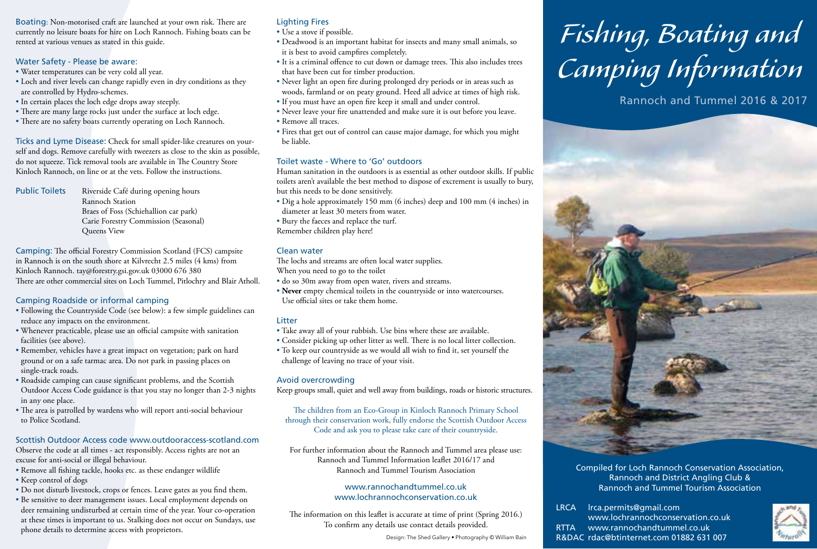Boating: Non-motorised craft are launched at your own risk. There are currently no leisure boats for hire on Loch Rannoch. Fishing boats can be rented at various venues as stated in this guide.

#### Water Safety - Please be aware:

- Water temperatures can be very cold all year.
- Loch and river levels can change rapidly even in dry conditions as they are controlled by Hydro-schemes.
- In certain places the loch edge drops away steeply.
- There are many large rocks just under the surface at loch edge.
- There are no safety boats currently operating on Loch Rannoch.

Ticks and Lyme Disease: Check for small spider-like creatures on yourself and dogs. Remove carefully with tweezers as close to the skin as possible, do not squeeze. Tick removal tools are available in The Country Store Kinloch Rannoch, on line or at the vets. Follow the instructions.

Public Toilets Riverside Café during opening hours Rannoch Station Braes of Foss (Schiehallion car park) Carie Forestry Commission (Seasonal) Queens View

Camping: The official Forestry Commission Scotland (FCS) campsite in Rannoch is on the south shore at Kilvrecht 2.5 miles (4 kms) from Kinloch Rannoch. tay@forestry.gsi.gov.uk 03000 676 380 There are other commercial sites on Loch Tummel, Pitlochry and Blair Atholl.

### Camping Roadside or informal camping

- Following the Countryside Code (see below): a few simple guidelines can reduce any impacts on the environment.
- Whenever practicable, please use an official campsite with sanitation facilities (see above).
- Remember, vehicles have a great impact on vegetation; park on hard ground or on a safe tarmac area. Do not park in passing places on single-track roads.
- Roadside camping can cause significant problems, and the Scottish Outdoor Access Code guidance is that you stay no longer than 2-3 nights in any one place.
- The area is patrolled by wardens who will report anti-social behaviour to Police Scotland.

# Scottish Outdoor Access code www.outdooraccess-scotland.com

Observe the code at all times - act responsibly. Access rights are not an excuse for anti-social or illegal behaviour.

- Remove all fishing tackle, hooks etc. as these endanger wildlife
- Keep control of dogs
- Do not disturb livestock, crops or fences. Leave gates as you find them.
- Be sensitive to deer management issues. Local employment depends on deer remaining undisturbed at certain time of the year. Your co-operation at these times is important to us. Stalking does not occur on Sundays, use phone details to determine access with proprietors.

## Lighting Fires

- Use a stove if possible.
- Deadwood is an important habitat for insects and many small animals, so it is best to avoid campfires completely.
- It is a criminal offence to cut down or damage trees. This also includes trees that have been cut for timber production.
- Never light an open fire during prolonged dry periods or in areas such as woods, farmland or on peaty ground. Heed all advice at times of high risk.
- If you must have an open fire keep it small and under control.
- Never leave your fire unattended and make sure it is out before you leave. • Remove all traces.
- 
- Fires that get out of control can cause major damage, for which you might be liable.

#### Toilet waste - Where to 'Go' outdoors

Human sanitation in the outdoors is as essential as other outdoor skills. If public toilets aren't available the best method to dispose of excrement is usually to bury, but this needs to be done sensitively.

- Dig a hole approximately 150 mm (6 inches) deep and 100 mm (4 inches) in diameter at least 30 meters from water.
- Bury the faeces and replace the turf.
- Remember children play here!

#### Clean water

The lochs and streams are often local water supplies. When you need to go to the toilet

- do so 30m away from open water, rivers and streams.
- **Never** empty chemical toilets in the countryside or into watercourses. Use official sites or take them home.

#### **Litter**

- Take away all of your rubbish. Use bins where these are available.
- Consider picking up other litter as well. There is no local litter collection.
- To keep our countryside as we would all wish to find it, set yourself the challenge of leaving no trace of your visit.

#### Avoid overcrowding

Keep groups small, quiet and well away from buildings, roads or historic structures.

The children from an Eco-Group in Kinloch Rannoch Primary School through their conservation work, fully endorse the Scottish Outdoor Access Code and ask you to please take care of their countryside.

For further information about the Rannoch and Tummel area please use: Rannoch and Tummel Information leaflet 2016/17 and Rannoch and Tummel Tourism Association

#### www.rannochandtummel.co.uk www.lochrannochconservation.co.uk

The information on this leaflet is accurate at time of print (Spring 2016.) To confirm any details use contact details provided.

# *Fishing, Boating and Camping Information*

Rannoch and Tummel 2016 & 2017



Compiled for Loch Rannoch Conservation Association, Rannoch and District Angling Club & Rannoch and Tummel Tourism Association

LRCA lrca.permits@gmail.com www.lochrannochconservation.co.uk RTTA www.rannochandtummel.co.uk Design: The Shed Gallery • Photography © William Bain R&DAC rdac@btinternet.com 01882 631 007